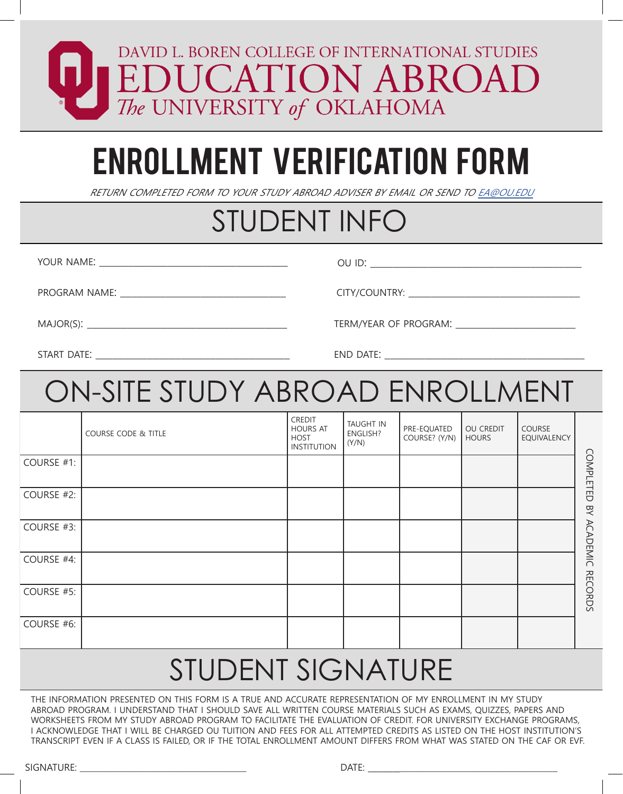#### DAVID L. BOREN COLLEGE OF INTERNATIONAL STUDIES **EDUCATION ABROA** The UNIVERSITY of OKLAHOMA

# ENROLLMENT VERIFICATION FORM

RETURN COMPLETED FORM TO YOUR STUDY ABROAD ADVISER BY EMAIL OR SEND TO EA@OU.EDU

#### STUDENT INFO

YOUR NAME:  $\blacksquare$ 

OU ID:

PROGRAM NAME: \_\_\_\_\_\_\_\_\_\_\_\_\_\_\_\_\_\_\_\_\_\_\_\_\_\_\_\_\_ CITY/COUNTRY: \_\_\_\_\_\_\_\_\_\_\_\_\_\_\_\_\_\_\_\_\_\_\_\_\_\_\_\_\_\_

START DATE:

MAJOR(S):

END DATE:

TERM/YEAR OF PROGRAM:

### ON-SITE STUDY ABROAD ENROLLMENT

|            | COURSE CODE & TITLE | <b>CREDIT</b><br><b>HOURS AT</b><br><b>HOST</b><br><b>INSTITUTION</b> | TAUGHT IN<br>ENGLISH?<br>(Y/N) | PRE-EQUATED<br>COURSE? (Y/N) | OU CREDIT<br><b>HOURS</b> | COURSE<br>EQUIVALENCY |                  |
|------------|---------------------|-----------------------------------------------------------------------|--------------------------------|------------------------------|---------------------------|-----------------------|------------------|
| COURSE #1: |                     |                                                                       |                                |                              |                           |                       | <b>COMPLETED</b> |
| COURSE #2: |                     |                                                                       |                                |                              |                           |                       | ŊХ               |
| COURSE #3: |                     |                                                                       |                                |                              |                           |                       | <b>ACADEMIC</b>  |
| COURSE #4: |                     |                                                                       |                                |                              |                           |                       |                  |
| COURSE #5: |                     |                                                                       |                                |                              |                           |                       | <b>RECORDS</b>   |
| COURSE #6: |                     |                                                                       |                                |                              |                           |                       |                  |

## STUDENT SIGNATURE

THE INFORMATION PRESENTED ON THIS FORM IS A TRUE AND ACCURATE REPRESENTATION OF MY ENROLLMENT IN MY STUDY ABROAD PROGRAM. I UNDERSTAND THAT I SHOULD SAVE ALL WRITTEN COURSE MATERIALS SUCH AS EXAMS, QUIZZES, PAPERS AND WORKSHEETS FROM MY STUDY ABROAD PROGRAM TO FACILITATE THE EVALUATION OF CREDIT. FOR UNIVERSITY EXCHANGE PROGRAMS, I ACKNOWLEDGE THAT I WILL BE CHARGED OU TUITION AND FEES FOR ALL ATTEMPTED CREDITS AS LISTED ON THE HOST INSTITUTION'S TRANSCRIPT EVEN IF A CLASS IS FAILED, OR IF THE TOTAL ENROLLMENT AMOUNT DIFFERS FROM WHAT WAS STATED ON THE CAF OR EVF.